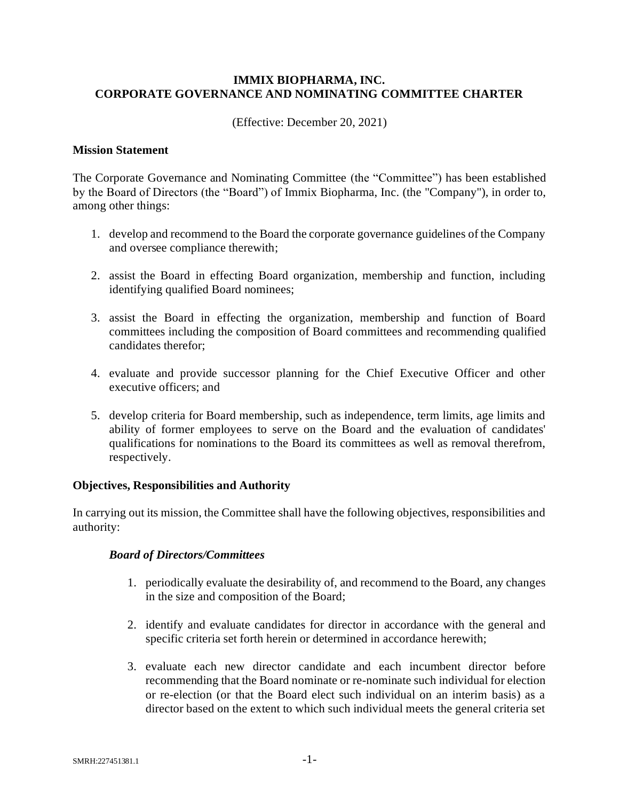## **IMMIX BIOPHARMA, INC. CORPORATE GOVERNANCE AND NOMINATING COMMITTEE CHARTER**

(Effective: December 20, 2021)

#### **Mission Statement**

The Corporate Governance and Nominating Committee (the "Committee") has been established by the Board of Directors (the "Board") of Immix Biopharma, Inc. (the "Company"), in order to, among other things:

- 1. develop and recommend to the Board the corporate governance guidelines of the Company and oversee compliance therewith;
- 2. assist the Board in effecting Board organization, membership and function, including identifying qualified Board nominees;
- 3. assist the Board in effecting the organization, membership and function of Board committees including the composition of Board committees and recommending qualified candidates therefor;
- 4. evaluate and provide successor planning for the Chief Executive Officer and other executive officers; and
- 5. develop criteria for Board membership, such as independence, term limits, age limits and ability of former employees to serve on the Board and the evaluation of candidates' qualifications for nominations to the Board its committees as well as removal therefrom, respectively.

#### **Objectives, Responsibilities and Authority**

In carrying out its mission, the Committee shall have the following objectives, responsibilities and authority:

#### *Board of Directors/Committees*

- 1. periodically evaluate the desirability of, and recommend to the Board, any changes in the size and composition of the Board;
- 2. identify and evaluate candidates for director in accordance with the general and specific criteria set forth herein or determined in accordance herewith;
- 3. evaluate each new director candidate and each incumbent director before recommending that the Board nominate or re-nominate such individual for election or re-election (or that the Board elect such individual on an interim basis) as a director based on the extent to which such individual meets the general criteria set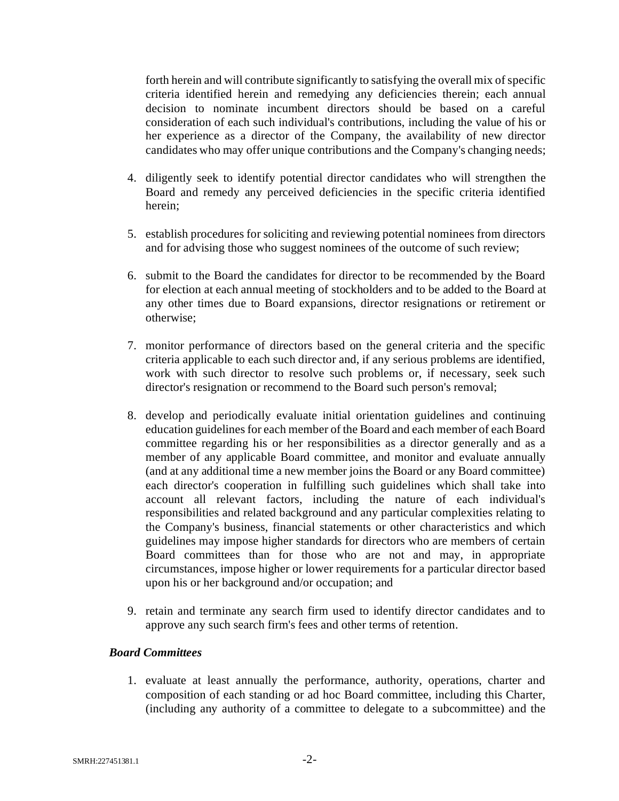forth herein and will contribute significantly to satisfying the overall mix of specific criteria identified herein and remedying any deficiencies therein; each annual decision to nominate incumbent directors should be based on a careful consideration of each such individual's contributions, including the value of his or her experience as a director of the Company, the availability of new director candidates who may offer unique contributions and the Company's changing needs;

- 4. diligently seek to identify potential director candidates who will strengthen the Board and remedy any perceived deficiencies in the specific criteria identified herein;
- 5. establish procedures for soliciting and reviewing potential nominees from directors and for advising those who suggest nominees of the outcome of such review;
- 6. submit to the Board the candidates for director to be recommended by the Board for election at each annual meeting of stockholders and to be added to the Board at any other times due to Board expansions, director resignations or retirement or otherwise;
- 7. monitor performance of directors based on the general criteria and the specific criteria applicable to each such director and, if any serious problems are identified, work with such director to resolve such problems or, if necessary, seek such director's resignation or recommend to the Board such person's removal;
- 8. develop and periodically evaluate initial orientation guidelines and continuing education guidelines for each member of the Board and each member of each Board committee regarding his or her responsibilities as a director generally and as a member of any applicable Board committee, and monitor and evaluate annually (and at any additional time a new member joins the Board or any Board committee) each director's cooperation in fulfilling such guidelines which shall take into account all relevant factors, including the nature of each individual's responsibilities and related background and any particular complexities relating to the Company's business, financial statements or other characteristics and which guidelines may impose higher standards for directors who are members of certain Board committees than for those who are not and may, in appropriate circumstances, impose higher or lower requirements for a particular director based upon his or her background and/or occupation; and
- 9. retain and terminate any search firm used to identify director candidates and to approve any such search firm's fees and other terms of retention.

#### *Board Committees*

1. evaluate at least annually the performance, authority, operations, charter and composition of each standing or ad hoc Board committee, including this Charter, (including any authority of a committee to delegate to a subcommittee) and the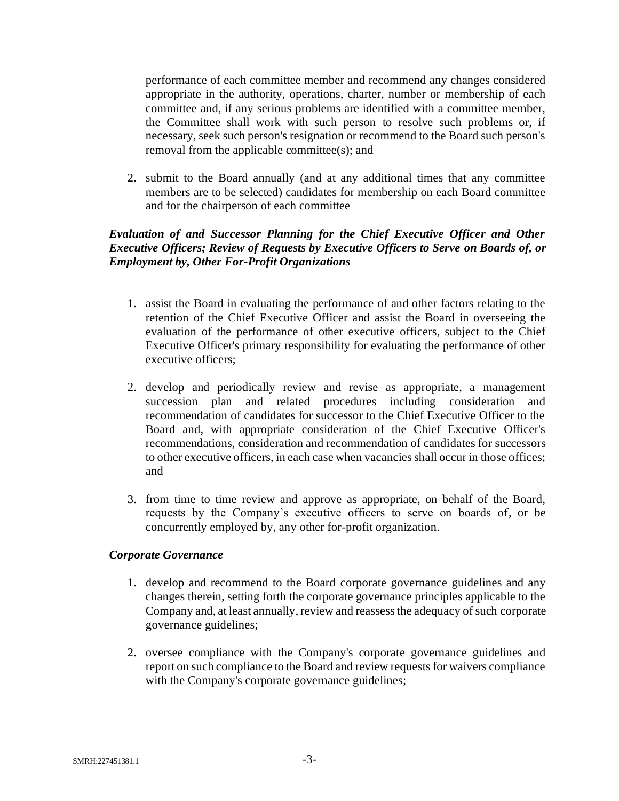performance of each committee member and recommend any changes considered appropriate in the authority, operations, charter, number or membership of each committee and, if any serious problems are identified with a committee member, the Committee shall work with such person to resolve such problems or, if necessary, seek such person's resignation or recommend to the Board such person's removal from the applicable committee(s); and

2. submit to the Board annually (and at any additional times that any committee members are to be selected) candidates for membership on each Board committee and for the chairperson of each committee

# *Evaluation of and Successor Planning for the Chief Executive Officer and Other Executive Officers; Review of Requests by Executive Officers to Serve on Boards of, or Employment by, Other For-Profit Organizations*

- 1. assist the Board in evaluating the performance of and other factors relating to the retention of the Chief Executive Officer and assist the Board in overseeing the evaluation of the performance of other executive officers, subject to the Chief Executive Officer's primary responsibility for evaluating the performance of other executive officers;
- 2. develop and periodically review and revise as appropriate, a management succession plan and related procedures including consideration and recommendation of candidates for successor to the Chief Executive Officer to the Board and, with appropriate consideration of the Chief Executive Officer's recommendations, consideration and recommendation of candidates for successors to other executive officers, in each case when vacancies shall occur in those offices; and
- 3. from time to time review and approve as appropriate, on behalf of the Board, requests by the Company's executive officers to serve on boards of, or be concurrently employed by, any other for-profit organization.

#### *Corporate Governance*

- 1. develop and recommend to the Board corporate governance guidelines and any changes therein, setting forth the corporate governance principles applicable to the Company and, at least annually, review and reassess the adequacy of such corporate governance guidelines;
- 2. oversee compliance with the Company's corporate governance guidelines and report on such compliance to the Board and review requests for waivers compliance with the Company's corporate governance guidelines;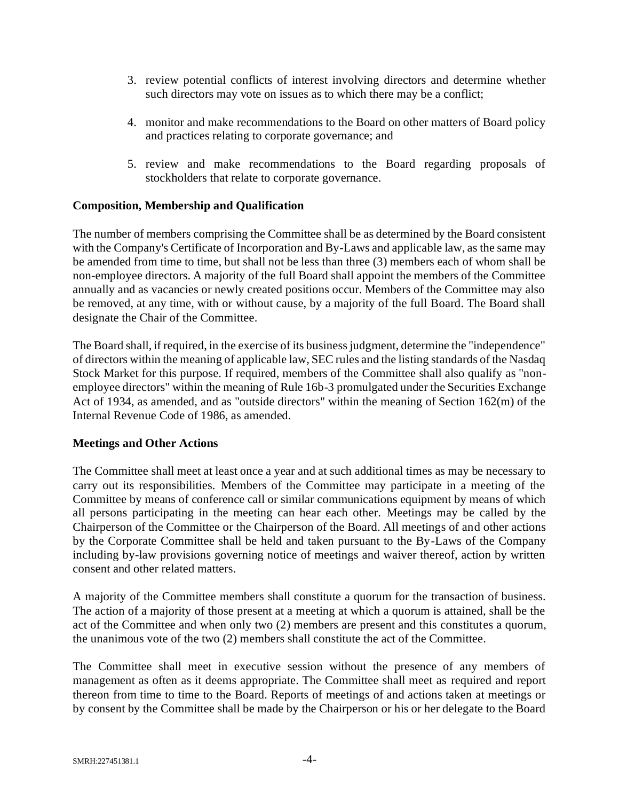- 3. review potential conflicts of interest involving directors and determine whether such directors may vote on issues as to which there may be a conflict;
- 4. monitor and make recommendations to the Board on other matters of Board policy and practices relating to corporate governance; and
- 5. review and make recommendations to the Board regarding proposals of stockholders that relate to corporate governance.

### **Composition, Membership and Qualification**

The number of members comprising the Committee shall be as determined by the Board consistent with the Company's Certificate of Incorporation and By-Laws and applicable law, as the same may be amended from time to time, but shall not be less than three (3) members each of whom shall be non-employee directors. A majority of the full Board shall appoint the members of the Committee annually and as vacancies or newly created positions occur. Members of the Committee may also be removed, at any time, with or without cause, by a majority of the full Board. The Board shall designate the Chair of the Committee.

The Board shall, if required, in the exercise of its business judgment, determine the "independence" of directors within the meaning of applicable law, SEC rules and the listing standards of the Nasdaq Stock Market for this purpose. If required, members of the Committee shall also qualify as "nonemployee directors" within the meaning of Rule 16b-3 promulgated under the Securities Exchange Act of 1934, as amended, and as "outside directors" within the meaning of Section 162(m) of the Internal Revenue Code of 1986, as amended.

#### **Meetings and Other Actions**

The Committee shall meet at least once a year and at such additional times as may be necessary to carry out its responsibilities. Members of the Committee may participate in a meeting of the Committee by means of conference call or similar communications equipment by means of which all persons participating in the meeting can hear each other. Meetings may be called by the Chairperson of the Committee or the Chairperson of the Board. All meetings of and other actions by the Corporate Committee shall be held and taken pursuant to the By-Laws of the Company including by-law provisions governing notice of meetings and waiver thereof, action by written consent and other related matters.

A majority of the Committee members shall constitute a quorum for the transaction of business. The action of a majority of those present at a meeting at which a quorum is attained, shall be the act of the Committee and when only two (2) members are present and this constitutes a quorum, the unanimous vote of the two (2) members shall constitute the act of the Committee.

The Committee shall meet in executive session without the presence of any members of management as often as it deems appropriate. The Committee shall meet as required and report thereon from time to time to the Board. Reports of meetings of and actions taken at meetings or by consent by the Committee shall be made by the Chairperson or his or her delegate to the Board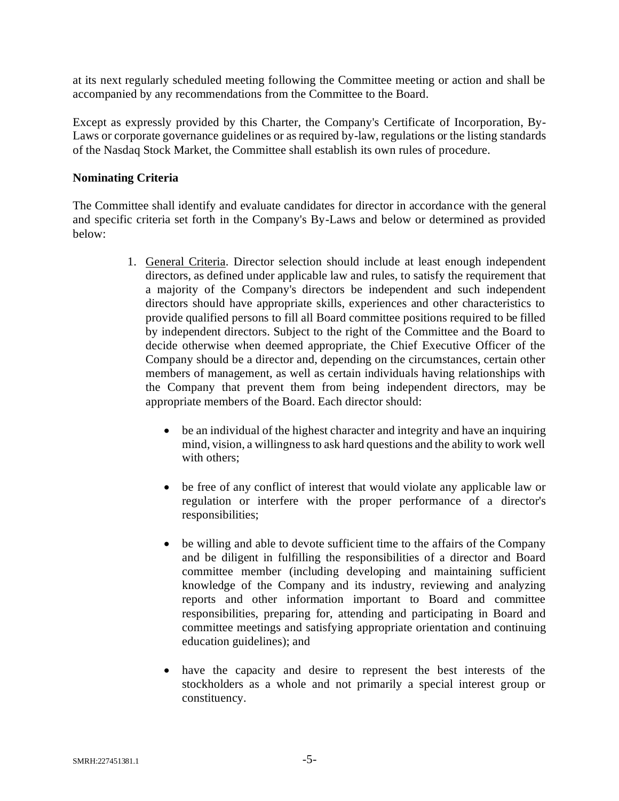at its next regularly scheduled meeting following the Committee meeting or action and shall be accompanied by any recommendations from the Committee to the Board.

Except as expressly provided by this Charter, the Company's Certificate of Incorporation, By-Laws or corporate governance guidelines or as required by-law, regulations or the listing standards of the Nasdaq Stock Market, the Committee shall establish its own rules of procedure.

### **Nominating Criteria**

The Committee shall identify and evaluate candidates for director in accordance with the general and specific criteria set forth in the Company's By-Laws and below or determined as provided below:

- 1. General Criteria. Director selection should include at least enough independent directors, as defined under applicable law and rules, to satisfy the requirement that a majority of the Company's directors be independent and such independent directors should have appropriate skills, experiences and other characteristics to provide qualified persons to fill all Board committee positions required to be filled by independent directors. Subject to the right of the Committee and the Board to decide otherwise when deemed appropriate, the Chief Executive Officer of the Company should be a director and, depending on the circumstances, certain other members of management, as well as certain individuals having relationships with the Company that prevent them from being independent directors, may be appropriate members of the Board. Each director should:
	- be an individual of the highest character and integrity and have an inquiring mind, vision, a willingness to ask hard questions and the ability to work well with others:
	- be free of any conflict of interest that would violate any applicable law or regulation or interfere with the proper performance of a director's responsibilities;
	- be willing and able to devote sufficient time to the affairs of the Company and be diligent in fulfilling the responsibilities of a director and Board committee member (including developing and maintaining sufficient knowledge of the Company and its industry, reviewing and analyzing reports and other information important to Board and committee responsibilities, preparing for, attending and participating in Board and committee meetings and satisfying appropriate orientation and continuing education guidelines); and
	- have the capacity and desire to represent the best interests of the stockholders as a whole and not primarily a special interest group or constituency.